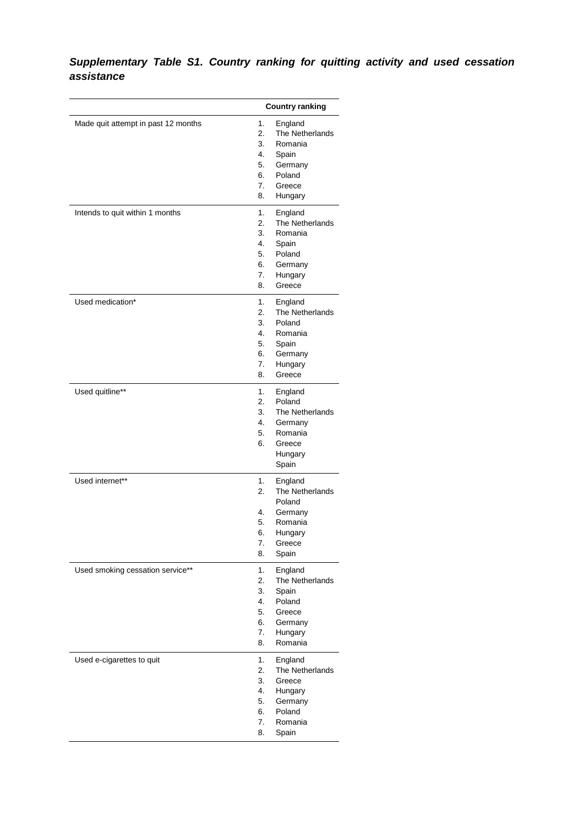## *Supplementary Table S1. Country ranking for quitting activity and used cessation assistance*

|                                     |                               | <b>Country ranking</b> |
|-------------------------------------|-------------------------------|------------------------|
| Made quit attempt in past 12 months | 1.                            | England                |
|                                     | 2.                            | The Netherlands        |
|                                     | 3.                            | Romania                |
|                                     | 4.                            | Spain                  |
|                                     | 5.                            | Germany                |
|                                     | 6.                            | Poland                 |
|                                     | 7.                            | Greece                 |
|                                     | 8.                            | Hungary                |
| Intends to quit within 1 months     | 1.                            | England                |
|                                     | 2.                            | The Netherlands        |
|                                     | 3.                            | Romania                |
|                                     | 4.                            | Spain                  |
|                                     | 5.                            | Poland                 |
|                                     | 6.                            | Germany                |
|                                     | 7.                            | Hungary                |
|                                     | 8.                            | Greece                 |
| Used medication*                    | 1.                            | England                |
|                                     | 2.                            | The Netherlands        |
|                                     | 3.                            | Poland                 |
|                                     | 4.                            | Romania                |
|                                     | 5.                            | Spain                  |
|                                     | 6.                            | Germany                |
|                                     | 7.                            | Hungary                |
|                                     | 8.                            | Greece                 |
| Used quitline**                     | 1.                            | England                |
|                                     | 2.                            | Poland                 |
|                                     | 3.                            | The Netherlands        |
|                                     | 4.                            | Germany                |
|                                     | 5.                            | Romania                |
|                                     | 6.                            | Greece                 |
|                                     |                               | Hungary                |
|                                     |                               | Spain                  |
| Used internet**                     | 1.                            | England                |
|                                     | 2.                            | The Netherlands        |
|                                     |                               | Poland                 |
|                                     | 4.                            | Germany                |
|                                     | 5.                            | Romania                |
|                                     | 6.                            | Hungary                |
|                                     | 7.                            | Greece                 |
|                                     | 8.                            | Spain                  |
| Used smoking cessation service**    | 1.                            | England                |
|                                     | 2.                            | The Netherlands        |
|                                     | 3.                            | Spain                  |
|                                     | 4.                            | Poland                 |
|                                     | 5.<br>Greece<br>6.<br>Germany |                        |
|                                     |                               |                        |
|                                     | 7.                            | Hungary                |
|                                     | 8.                            | Romania                |
| Used e-cigarettes to quit           | 1.                            | England                |
|                                     | 2.                            | The Netherlands        |
|                                     | 3.                            | Greece                 |
|                                     | 4.                            | Hungary                |
|                                     | 5.                            | Germany                |
|                                     | 6.                            | Poland                 |
|                                     | 7.                            | Romania                |
|                                     | 8.                            | Spain                  |
|                                     |                               |                        |